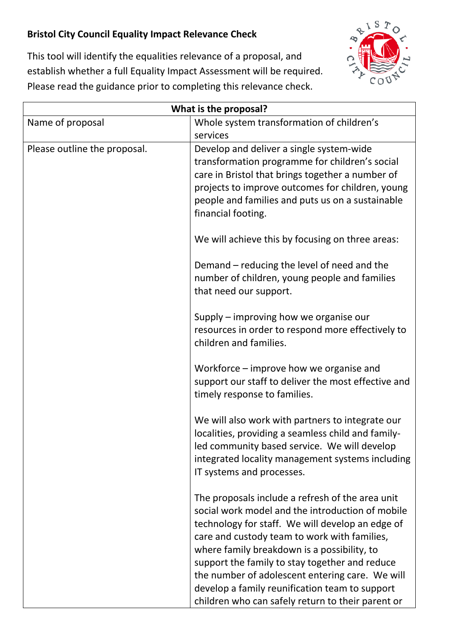## **Bristol City Council Equality Impact Relevance Check**



This tool will identify the equalities relevance of a proposal, and establish whether a full Equality Impact Assessment will be required. Please read the guidance prior to completing this relevance check.

| What is the proposal?        |                                                                                                                                                                                                                                                                                                                                                                                                                                                                     |
|------------------------------|---------------------------------------------------------------------------------------------------------------------------------------------------------------------------------------------------------------------------------------------------------------------------------------------------------------------------------------------------------------------------------------------------------------------------------------------------------------------|
| Name of proposal             | Whole system transformation of children's                                                                                                                                                                                                                                                                                                                                                                                                                           |
|                              | services                                                                                                                                                                                                                                                                                                                                                                                                                                                            |
| Please outline the proposal. | Develop and deliver a single system-wide<br>transformation programme for children's social<br>care in Bristol that brings together a number of                                                                                                                                                                                                                                                                                                                      |
|                              | projects to improve outcomes for children, young<br>people and families and puts us on a sustainable<br>financial footing.                                                                                                                                                                                                                                                                                                                                          |
|                              | We will achieve this by focusing on three areas:                                                                                                                                                                                                                                                                                                                                                                                                                    |
|                              | Demand – reducing the level of need and the<br>number of children, young people and families<br>that need our support.                                                                                                                                                                                                                                                                                                                                              |
|                              | Supply – improving how we organise our<br>resources in order to respond more effectively to<br>children and families.                                                                                                                                                                                                                                                                                                                                               |
|                              | Workforce – improve how we organise and<br>support our staff to deliver the most effective and<br>timely response to families.                                                                                                                                                                                                                                                                                                                                      |
|                              | We will also work with partners to integrate our<br>localities, providing a seamless child and family-<br>led community based service. We will develop<br>integrated locality management systems including<br>IT systems and processes.                                                                                                                                                                                                                             |
|                              | The proposals include a refresh of the area unit<br>social work model and the introduction of mobile<br>technology for staff. We will develop an edge of<br>care and custody team to work with families,<br>where family breakdown is a possibility, to<br>support the family to stay together and reduce<br>the number of adolescent entering care. We will<br>develop a family reunification team to support<br>children who can safely return to their parent or |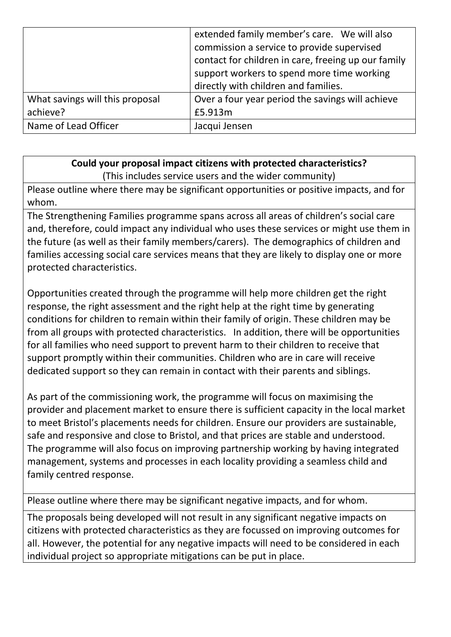|                                 | extended family member's care. We will also         |
|---------------------------------|-----------------------------------------------------|
|                                 | commission a service to provide supervised          |
|                                 | contact for children in care, freeing up our family |
|                                 | support workers to spend more time working          |
|                                 | directly with children and families.                |
| What savings will this proposal | Over a four year period the savings will achieve    |
| achieve?                        | £5.913m                                             |
| Name of Lead Officer            | Jacqui Jensen                                       |

## **Could your proposal impact citizens with protected characteristics?** (This includes service users and the wider community)

Please outline where there may be significant opportunities or positive impacts, and for whom.

The Strengthening Families programme spans across all areas of children's social care and, therefore, could impact any individual who uses these services or might use them in the future (as well as their family members/carers). The demographics of children and families accessing social care services means that they are likely to display one or more protected characteristics.

Opportunities created through the programme will help more children get the right response, the right assessment and the right help at the right time by generating conditions for children to remain within their family of origin. These children may be from all groups with protected characteristics. In addition, there will be opportunities for all families who need support to prevent harm to their children to receive that support promptly within their communities. Children who are in care will receive dedicated support so they can remain in contact with their parents and siblings.

As part of the commissioning work, the programme will focus on maximising the provider and placement market to ensure there is sufficient capacity in the local market to meet Bristol's placements needs for children. Ensure our providers are sustainable, safe and responsive and close to Bristol, and that prices are stable and understood. The programme will also focus on improving partnership working by having integrated management, systems and processes in each locality providing a seamless child and family centred response.

Please outline where there may be significant negative impacts, and for whom.

The proposals being developed will not result in any significant negative impacts on citizens with protected characteristics as they are focussed on improving outcomes for all. However, the potential for any negative impacts will need to be considered in each individual project so appropriate mitigations can be put in place.